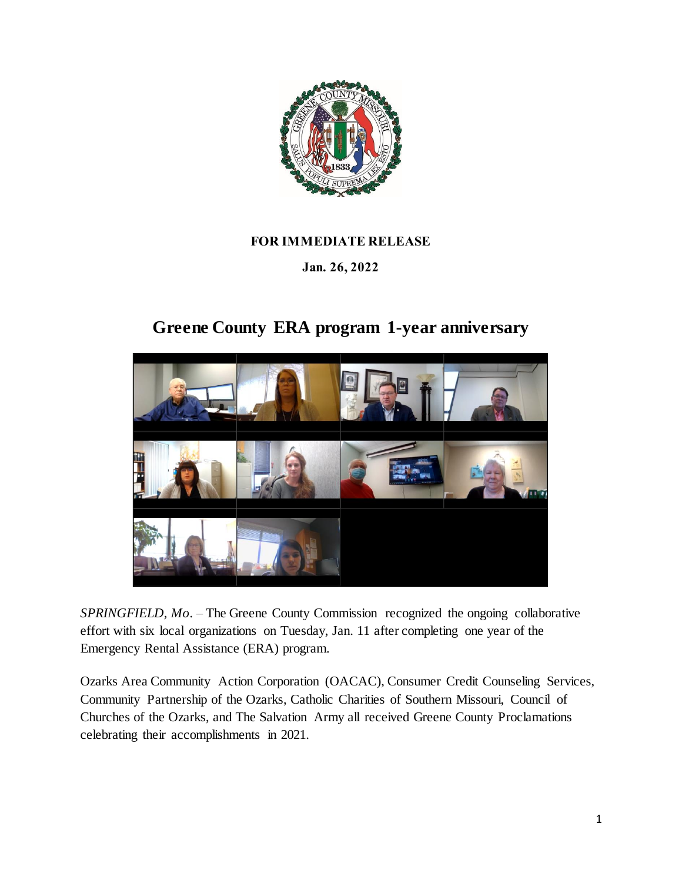

## **FOR IMMEDIATE RELEASE**

## **Jan. 26, 2022**

## **Greene County ERA program 1-year anniversary**



*SPRINGFIELD, Mo.* – The Greene County Commission recognized the ongoing collaborative effort with six local organizations on Tuesday, Jan. 11 after completing one year of the Emergency Rental Assistance (ERA) program.

Ozarks Area Community Action Corporation (OACAC), Consumer Credit Counseling Services, Community Partnership of the Ozarks, Catholic Charities of Southern Missouri, Council of Churches of the Ozarks, and The Salvation Army all received Greene County Proclamations celebrating their accomplishments in 2021.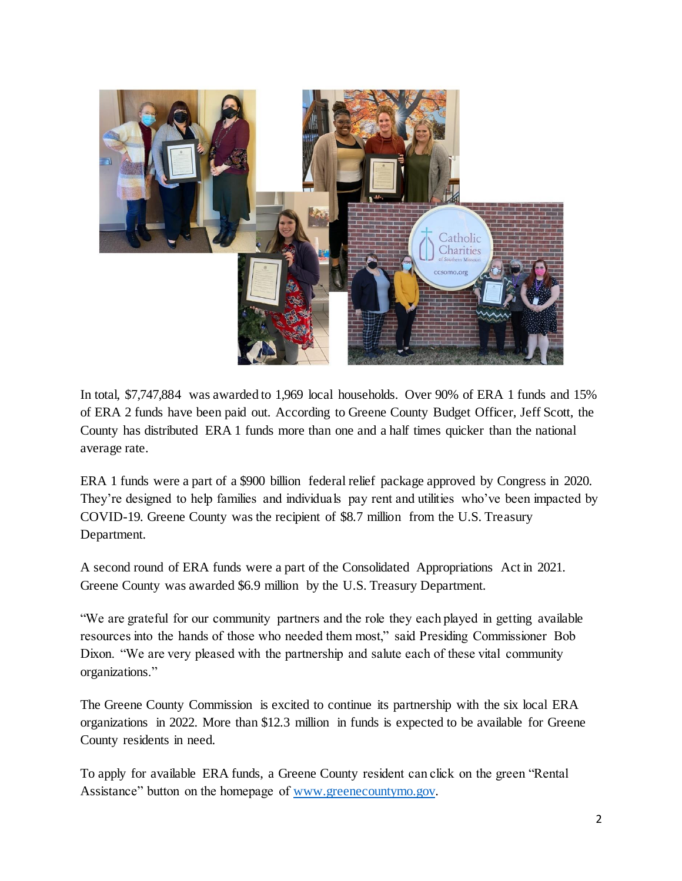

In total, \$7,747,884 was awarded to 1,969 local households. Over 90% of ERA 1 funds and 15% of ERA 2 funds have been paid out. According to Greene County Budget Officer, Jeff Scott, the County has distributed ERA 1 funds more than one and a half times quicker than the national average rate.

ERA 1 funds were a part of a \$900 billion federal relief package approved by Congress in 2020. They're designed to help families and individuals pay rent and utilities who've been impacted by COVID-19. Greene County was the recipient of \$8.7 million from the U.S. Treasury Department.

A second round of ERA funds were a part of the Consolidated Appropriations Act in 2021. Greene County was awarded \$6.9 million by the U.S. Treasury Department.

"We are grateful for our community partners and the role they each played in getting available resources into the hands of those who needed them most," said Presiding Commissioner Bob Dixon. "We are very pleased with the partnership and salute each of these vital community organizations."

The Greene County Commission is excited to continue its partnership with the six local ERA organizations in 2022. More than \$12.3 million in funds is expected to be available for Greene County residents in need.

To apply for available ERA funds, a Greene County resident can click on the green "Rental Assistance" button on the homepage of [www.greenecountymo.gov.](http://www.greenecountymo.gov/)